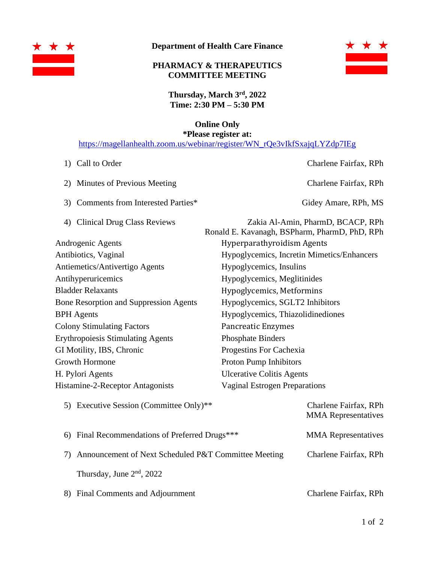

## **Department of Health Care Finance**

## **PHARMACY & THERAPEUTICS COMMITTEE MEETING**



**Thursday, March 3 rd, 2022 Time: 2:30 PM – 5:30 PM**

**Online Only**

**\*Please register at:** [https://magellanhealth.zoom.us/webinar/register/WN\\_rQe3vIkfSxajqLYZdp7IEg](https://magellanhealth.zoom.us/webinar/register/WN_rQe3vIkfSxajqLYZdp7IEg)

- 
- 2) Minutes of Previous Meeting Charlene Fairfax, RPh
- 3) Comments from Interested Parties\* Gidey Amare, RPh, MS
- 

1) Call to Order Charlene Fairfax, RPh

| 4) Clinical Drug Class Reviews                | Zakia Al-Amin, PharmD, BCACP, RPh                   |  |
|-----------------------------------------------|-----------------------------------------------------|--|
|                                               | Ronald E. Kavanagh, BSPharm, PharmD, PhD, RPh       |  |
| Androgenic Agents                             | <b>Hyperparathyroidism Agents</b>                   |  |
| Antibiotics, Vaginal                          | Hypoglycemics, Incretin Mimetics/Enhancers          |  |
| Antiemetics/Antivertigo Agents                | Hypoglycemics, Insulins                             |  |
| Antihyperuricemics                            | Hypoglycemics, Meglitinides                         |  |
| <b>Bladder Relaxants</b>                      | Hypoglycemics, Metformins                           |  |
| <b>Bone Resorption and Suppression Agents</b> | Hypoglycemics, SGLT2 Inhibitors                     |  |
| <b>BPH</b> Agents                             | Hypoglycemics, Thiazolidinediones                   |  |
| <b>Colony Stimulating Factors</b>             | Pancreatic Enzymes                                  |  |
| <b>Erythropoiesis Stimulating Agents</b>      | <b>Phosphate Binders</b>                            |  |
| GI Motility, IBS, Chronic                     | Progestins For Cachexia                             |  |
| <b>Growth Hormone</b>                         | Proton Pump Inhibitors                              |  |
| H. Pylori Agents                              | <b>Ulcerative Colitis Agents</b>                    |  |
| Histamine-2-Receptor Antagonists              | <b>Vaginal Estrogen Preparations</b>                |  |
| 5) Executive Session (Committee Only)**       | Charlene Fairfax, RPh<br><b>MMA</b> Representatives |  |

| 6) Final Recommendations of Preferred Drugs***          | <b>MMA</b> Representatives |
|---------------------------------------------------------|----------------------------|
| 7) Announcement of Next Scheduled P&T Committee Meeting | Charlene Fairfax, RPh      |
| Thursday, June $2nd$ , 2022                             |                            |

8) Final Comments and Adjournment Charlene Fairfax, RPh